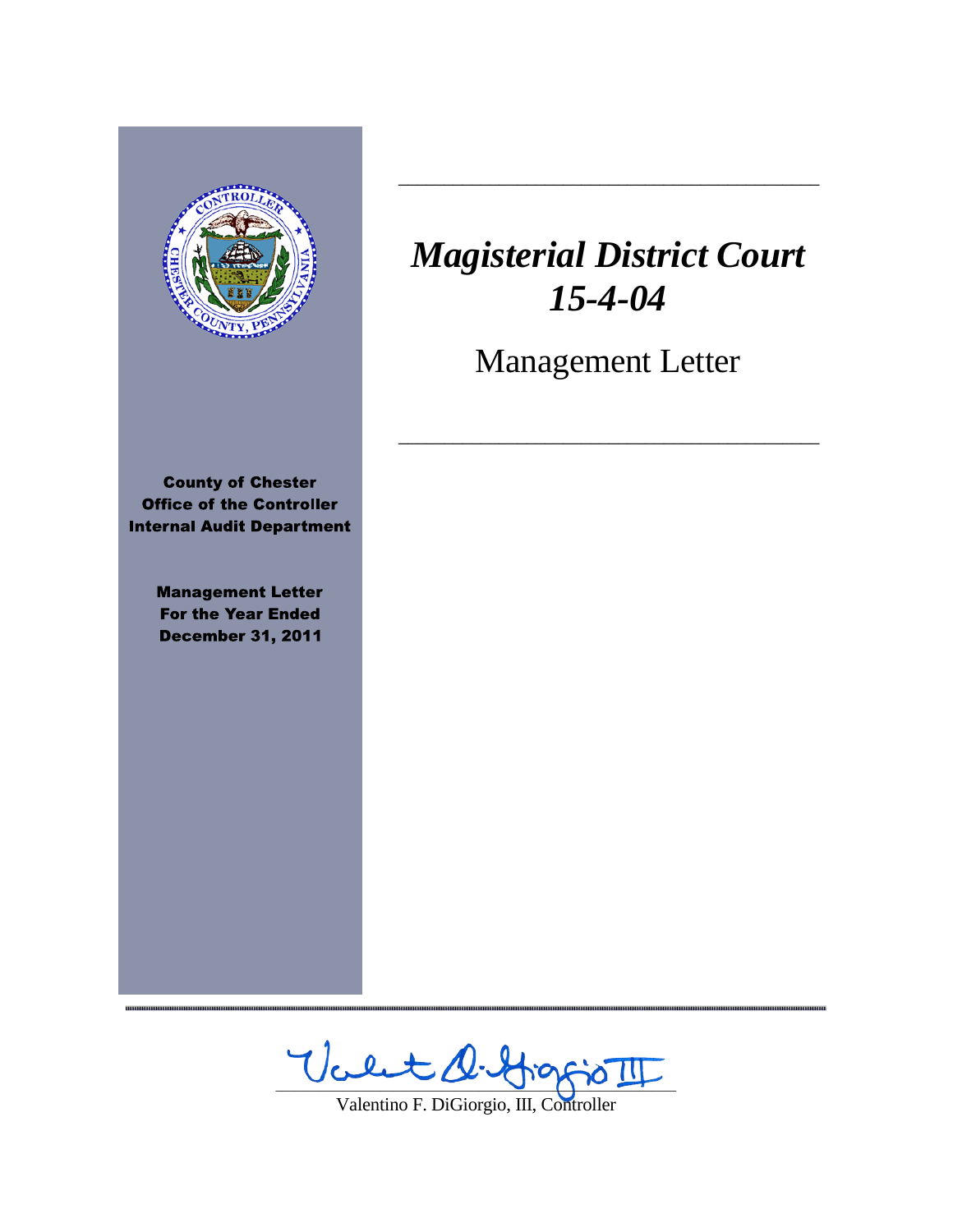

,,,,,,,,,,,,,,,,,,,,,,,,,,,,,,

# *Magisterial District Court 15-4-04*

 $\frac{1}{2}$  ,  $\frac{1}{2}$  ,  $\frac{1}{2}$  ,  $\frac{1}{2}$  ,  $\frac{1}{2}$  ,  $\frac{1}{2}$  ,  $\frac{1}{2}$  ,  $\frac{1}{2}$  ,  $\frac{1}{2}$  ,  $\frac{1}{2}$  ,  $\frac{1}{2}$  ,  $\frac{1}{2}$  ,  $\frac{1}{2}$  ,  $\frac{1}{2}$  ,  $\frac{1}{2}$  ,  $\frac{1}{2}$  ,  $\frac{1}{2}$  ,  $\frac{1}{2}$  ,  $\frac{1$ 

Management Letter

 $\frac{1}{2}$  ,  $\frac{1}{2}$  ,  $\frac{1}{2}$  ,  $\frac{1}{2}$  ,  $\frac{1}{2}$  ,  $\frac{1}{2}$  ,  $\frac{1}{2}$  ,  $\frac{1}{2}$  ,  $\frac{1}{2}$  ,  $\frac{1}{2}$  ,  $\frac{1}{2}$  ,  $\frac{1}{2}$  ,  $\frac{1}{2}$  ,  $\frac{1}{2}$  ,  $\frac{1}{2}$  ,  $\frac{1}{2}$  ,  $\frac{1}{2}$  ,  $\frac{1}{2}$  ,  $\frac{1$ 

Valt D. Hoppo II

Valentino F. DiGiorgio, III, Controller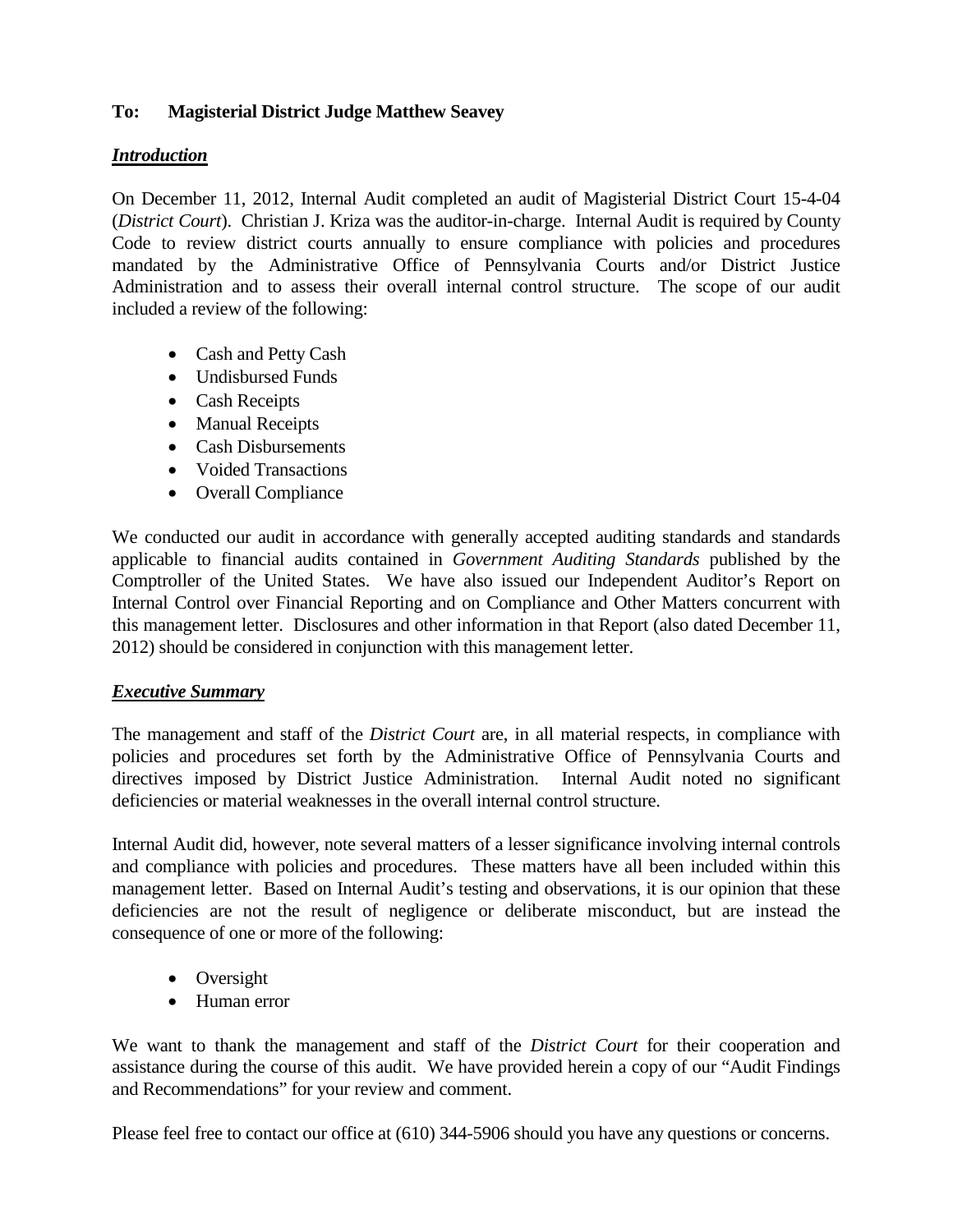# **To: Magisterial District Judge Matthew Seavey**

# *Introduction*

On December 11, 2012, Internal Audit completed an audit of Magisterial District Court 15-4-04 (*District Court*). Christian J. Kriza was the auditor-in-charge. Internal Audit is required by County Code to review district courts annually to ensure compliance with policies and procedures mandated by the Administrative Office of Pennsylvania Courts and/or District Justice Administration and to assess their overall internal control structure. The scope of our audit included a review of the following:

- Cash and Petty Cash
- Undisbursed Funds
- Cash Receipts
- Manual Receipts
- Cash Disbursements
- Voided Transactions
- Overall Compliance

We conducted our audit in accordance with generally accepted auditing standards and standards applicable to financial audits contained in *Government Auditing Standards* published by the Comptroller of the United States. We have also issued our Independent Auditor's Report on Internal Control over Financial Reporting and on Compliance and Other Matters concurrent with this management letter. Disclosures and other information in that Report (also dated December 11, 2012) should be considered in conjunction with this management letter.

# *Executive Summary*

The management and staff of the *District Court* are, in all material respects, in compliance with policies and procedures set forth by the Administrative Office of Pennsylvania Courts and directives imposed by District Justice Administration. Internal Audit noted no significant deficiencies or material weaknesses in the overall internal control structure.

Internal Audit did, however, note several matters of a lesser significance involving internal controls and compliance with policies and procedures. These matters have all been included within this management letter. Based on Internal Audit's testing and observations, it is our opinion that these deficiencies are not the result of negligence or deliberate misconduct, but are instead the consequence of one or more of the following:

- Oversight
- Human error

We want to thank the management and staff of the *District Court* for their cooperation and assistance during the course of this audit. We have provided herein a copy of our "Audit Findings and Recommendations" for your review and comment.

Please feel free to contact our office at (610) 344-5906 should you have any questions or concerns.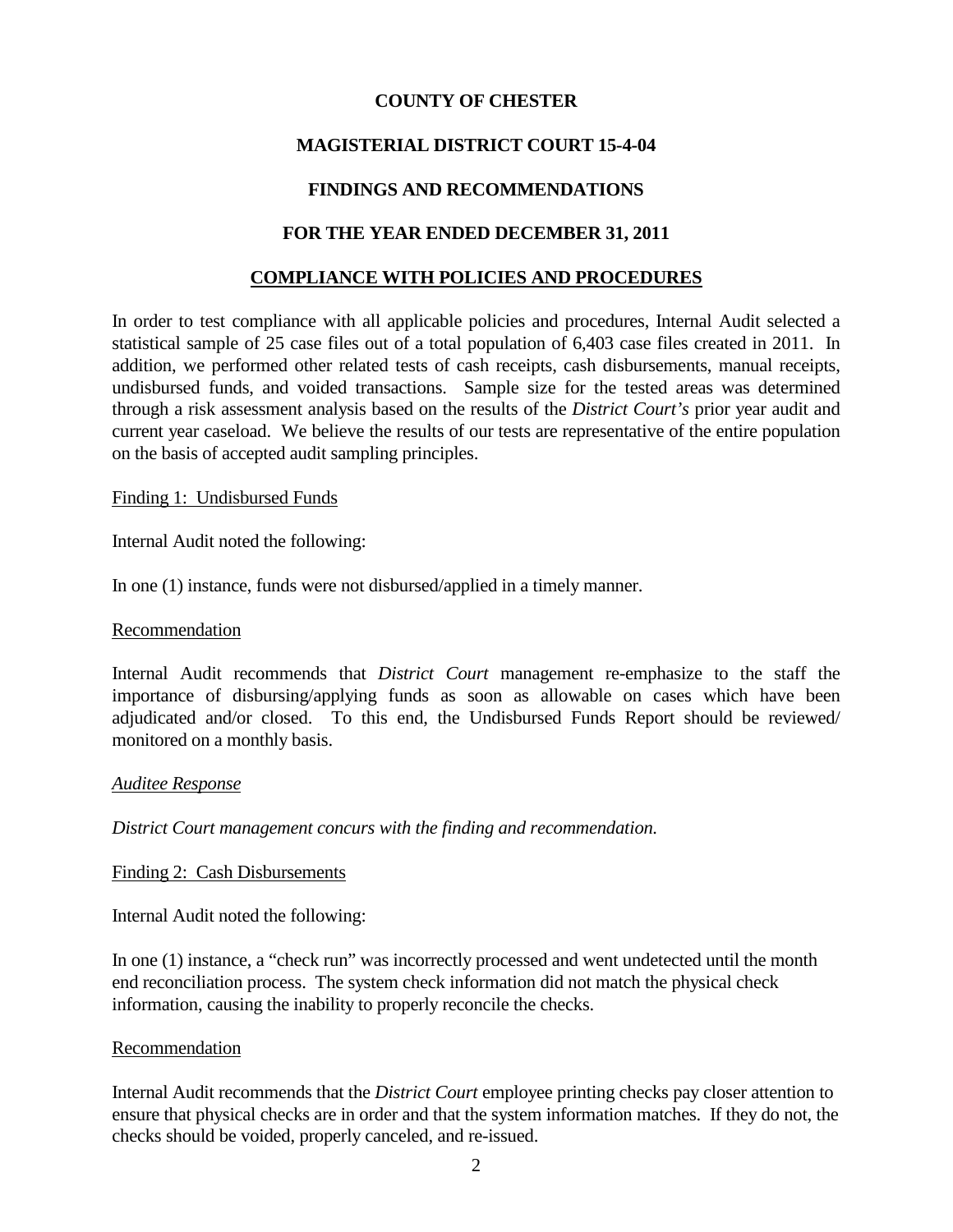# **COUNTY OF CHESTER**

# **MAGISTERIAL DISTRICT COURT 15-4-04**

# **FINDINGS AND RECOMMENDATIONS**

## **FOR THE YEAR ENDED DECEMBER 31, 2011**

#### **COMPLIANCE WITH POLICIES AND PROCEDURES**

In order to test compliance with all applicable policies and procedures, Internal Audit selected a statistical sample of 25 case files out of a total population of 6,403 case files created in 2011. In addition, we performed other related tests of cash receipts, cash disbursements, manual receipts, undisbursed funds, and voided transactions. Sample size for the tested areas was determined through a risk assessment analysis based on the results of the *District Court's* prior year audit and current year caseload. We believe the results of our tests are representative of the entire population on the basis of accepted audit sampling principles.

Finding 1: Undisbursed Funds

Internal Audit noted the following:

In one (1) instance, funds were not disbursed/applied in a timely manner.

#### Recommendation

Internal Audit recommends that *District Court* management re-emphasize to the staff the importance of disbursing/applying funds as soon as allowable on cases which have been adjudicated and/or closed. To this end, the Undisbursed Funds Report should be reviewed/ monitored on a monthly basis.

#### *Auditee Response*

*District Court management concurs with the finding and recommendation.*

Finding 2: Cash Disbursements

Internal Audit noted the following:

In one (1) instance, a "check run" was incorrectly processed and went undetected until the month end reconciliation process. The system check information did not match the physical check information, causing the inability to properly reconcile the checks.

#### Recommendation

Internal Audit recommends that the *District Court* employee printing checks pay closer attention to ensure that physical checks are in order and that the system information matches. If they do not, the checks should be voided, properly canceled, and re-issued.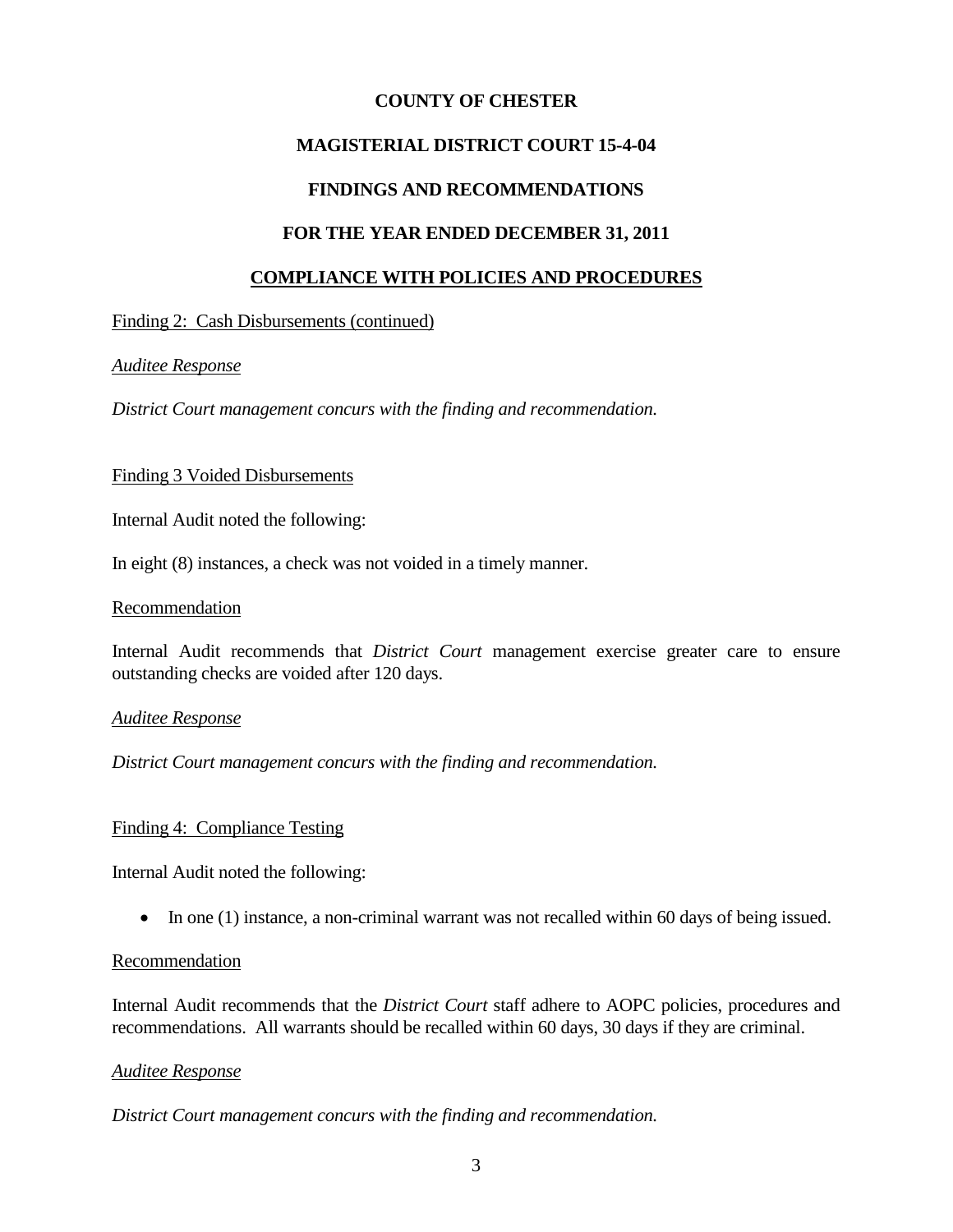#### **COUNTY OF CHESTER**

# **MAGISTERIAL DISTRICT COURT 15-4-04**

# **FINDINGS AND RECOMMENDATIONS**

#### **FOR THE YEAR ENDED DECEMBER 31, 2011**

#### **COMPLIANCE WITH POLICIES AND PROCEDURES**

#### Finding 2: Cash Disbursements (continued)

#### *Auditee Response*

*District Court management concurs with the finding and recommendation.*

#### Finding 3 Voided Disbursements

Internal Audit noted the following:

In eight (8) instances, a check was not voided in a timely manner.

#### Recommendation

Internal Audit recommends that *District Court* management exercise greater care to ensure outstanding checks are voided after 120 days.

#### *Auditee Response*

*District Court management concurs with the finding and recommendation.*

#### Finding 4: Compliance Testing

Internal Audit noted the following:

• In one (1) instance, a non-criminal warrant was not recalled within 60 days of being issued.

#### Recommendation

Internal Audit recommends that the *District Court* staff adhere to AOPC policies, procedures and recommendations. All warrants should be recalled within 60 days, 30 days if they are criminal.

#### *Auditee Response*

*District Court management concurs with the finding and recommendation.*